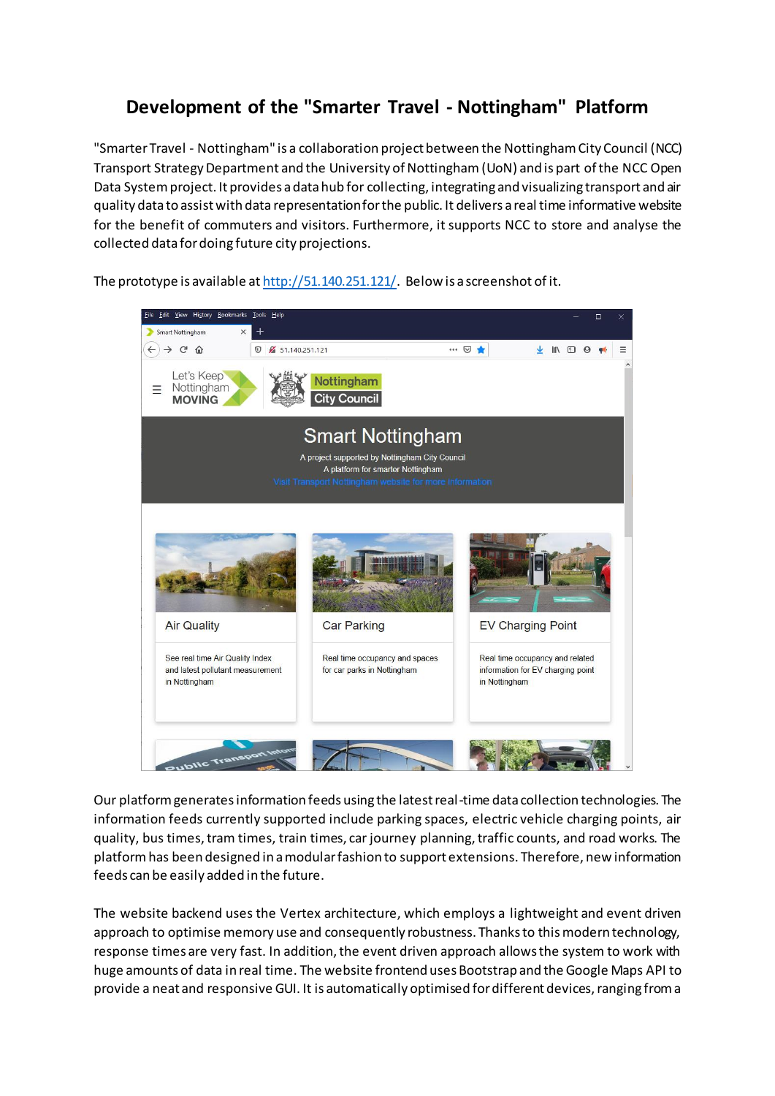## **Development of the "Smarter Travel - Nottingham" Platform**

"Smarter Travel - Nottingham" is a collaboration project between the Nottingham City Council (NCC) Transport Strategy Department and the University of Nottingham (UoN) and is part of the NCC Open Data System project. It provides a data hub for collecting, integrating and visualizing transport and air quality data to assist with data representation for the public. It delivers a real time informative website for the benefit of commuters and visitors. Furthermore, it supports NCC to store and analyse the collected data for doing future city projections.

The prototype is available a[t http://51.140.251.121/.](http://51.140.251.121/) Below is a screenshot of it.



Our platform generates information feeds using the latest real-time data collection technologies. The information feeds currently supported include parking spaces, electric vehicle charging points, air quality, bus times, tram times, train times, car journey planning, traffic counts, and road works. The platformhas been designed in a modular fashion to support extensions. Therefore, new information feeds can be easily added in the future.

The website backend uses the Vertex architecture, which employs a lightweight and event driven approach to optimise memory use and consequently robustness. Thanks to this modern technology, response times are very fast. In addition, the event driven approach allows the system to work with huge amounts of data in real time. The website frontend uses Bootstrap and the Google Maps API to provide a neat and responsive GUI. It is automatically optimised for different devices, ranging from a